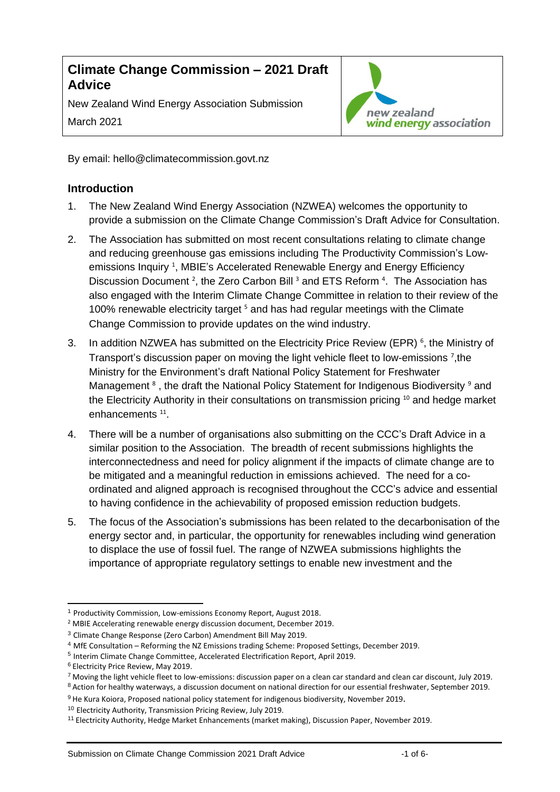# **Climate Change Commission – 2021 Draft Advice**

New Zealand Wind Energy Association Submission March 2021



By email: hello@climatecommission.govt.nz

# **Introduction**

- 1. The New Zealand Wind Energy Association (NZWEA) welcomes the opportunity to provide a submission on the Climate Change Commission's Draft Advice for Consultation.
- 2. The Association has submitted on most recent consultations relating to climate change and reducing greenhouse gas emissions including The Productivity Commission's Lowemissions Inquiry<sup>1</sup>, MBIE's Accelerated Renewable Energy and Energy Efficiency Discussion Document<sup>2</sup>, the Zero Carbon Bill<sup>3</sup> and ETS Reform<sup>4</sup>. The Association has also engaged with the Interim Climate Change Committee in relation to their review of the 100% renewable electricity target <sup>5</sup> and has had regular meetings with the Climate Change Commission to provide updates on the wind industry.
- 3. In addition NZWEA has submitted on the Electricity Price Review (EPR)<sup>6</sup>, the Ministry of Transport's discussion paper on moving the light vehicle fleet to low-emissions <sup>7</sup>, the Ministry for the Environment's draft National Policy Statement for Freshwater Management <sup>8</sup>, the draft the National Policy Statement for Indigenous Biodiversity <sup>9</sup> and the Electricity Authority in their consultations on transmission pricing <sup>10</sup> and hedge market enhancements<sup>11</sup>.
- 4. There will be a number of organisations also submitting on the CCC's Draft Advice in a similar position to the Association. The breadth of recent submissions highlights the interconnectedness and need for policy alignment if the impacts of climate change are to be mitigated and a meaningful reduction in emissions achieved. The need for a coordinated and aligned approach is recognised throughout the CCC's advice and essential to having confidence in the achievability of proposed emission reduction budgets.
- 5. The focus of the Association's submissions has been related to the decarbonisation of the energy sector and, in particular, the opportunity for renewables including wind generation to displace the use of fossil fuel. The range of NZWEA submissions highlights the importance of appropriate regulatory settings to enable new investment and the

<sup>1</sup> Productivity Commission, Low-emissions Economy Report, August 2018.

<sup>2</sup> MBIE Accelerating renewable energy discussion document, December 2019.

<sup>3</sup> Climate Change Response (Zero Carbon) Amendment Bill May 2019.

<sup>4</sup> MfE Consultation – Reforming the NZ Emissions trading Scheme: Proposed Settings, December 2019.

<sup>5</sup> Interim Climate Change Committee, Accelerated Electrification Report, April 2019.

<sup>6</sup> Electricity Price Review, May 2019.

<sup>&</sup>lt;sup>7</sup> Moving the light vehicle fleet to low-emissions: discussion paper on a clean car standard and clean car discount, July 2019.

<sup>8</sup> Action for healthy waterways, a discussion document on national direction for our essential freshwater, September 2019.

<sup>9</sup> He Kura Koiora, Proposed national policy statement for indigenous biodiversity, November 2019.

<sup>10</sup> Electricity Authority, Transmission Pricing Review, July 2019.

<sup>11</sup> Electricity Authority, Hedge Market Enhancements (market making), Discussion Paper, November 2019.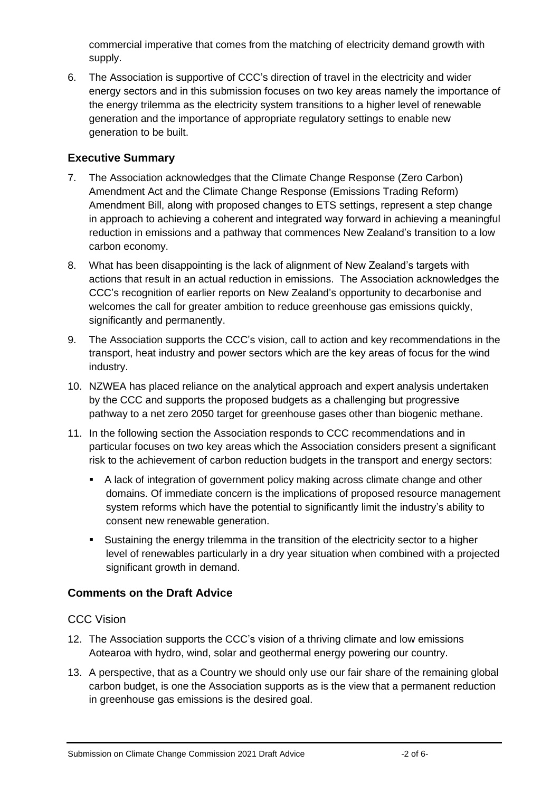commercial imperative that comes from the matching of electricity demand growth with supply.

6. The Association is supportive of CCC's direction of travel in the electricity and wider energy sectors and in this submission focuses on two key areas namely the importance of the energy trilemma as the electricity system transitions to a higher level of renewable generation and the importance of appropriate regulatory settings to enable new generation to be built.

# **Executive Summary**

- 7. The Association acknowledges that the Climate Change Response (Zero Carbon) Amendment Act and the Climate Change Response (Emissions Trading Reform) Amendment Bill, along with proposed changes to ETS settings, represent a step change in approach to achieving a coherent and integrated way forward in achieving a meaningful reduction in emissions and a pathway that commences New Zealand's transition to a low carbon economy.
- 8. What has been disappointing is the lack of alignment of New Zealand's targets with actions that result in an actual reduction in emissions. The Association acknowledges the CCC's recognition of earlier reports on New Zealand's opportunity to decarbonise and welcomes the call for greater ambition to reduce greenhouse gas emissions quickly, significantly and permanently.
- 9. The Association supports the CCC's vision, call to action and key recommendations in the transport, heat industry and power sectors which are the key areas of focus for the wind industry.
- 10. NZWEA has placed reliance on the analytical approach and expert analysis undertaken by the CCC and supports the proposed budgets as a challenging but progressive pathway to a net zero 2050 target for greenhouse gases other than biogenic methane.
- 11. In the following section the Association responds to CCC recommendations and in particular focuses on two key areas which the Association considers present a significant risk to the achievement of carbon reduction budgets in the transport and energy sectors:
	- A lack of integration of government policy making across climate change and other domains. Of immediate concern is the implications of proposed resource management system reforms which have the potential to significantly limit the industry's ability to consent new renewable generation.
	- Sustaining the energy trilemma in the transition of the electricity sector to a higher level of renewables particularly in a dry year situation when combined with a projected significant growth in demand.

## **Comments on the Draft Advice**

## CCC Vision

- 12. The Association supports the CCC's vision of a thriving climate and low emissions Aotearoa with hydro, wind, solar and geothermal energy powering our country.
- 13. A perspective, that as a Country we should only use our fair share of the remaining global carbon budget, is one the Association supports as is the view that a permanent reduction in greenhouse gas emissions is the desired goal.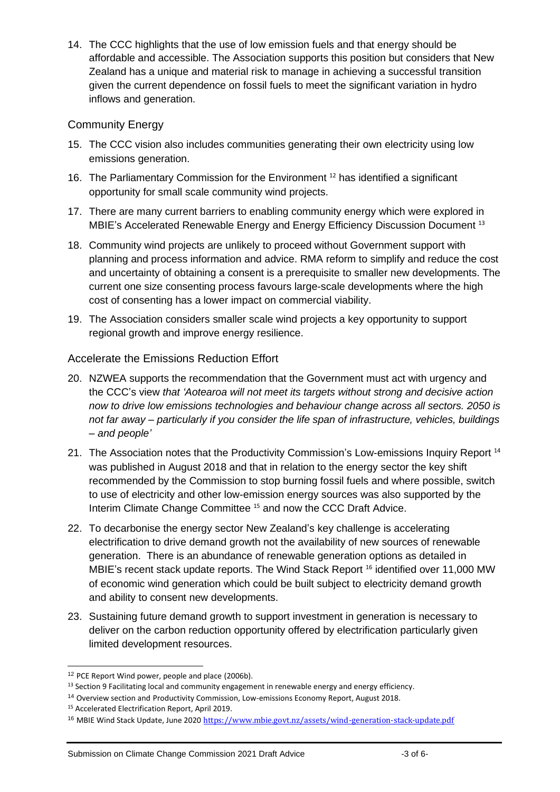14. The CCC highlights that the use of low emission fuels and that energy should be affordable and accessible. The Association supports this position but considers that New Zealand has a unique and material risk to manage in achieving a successful transition given the current dependence on fossil fuels to meet the significant variation in hydro inflows and generation.

## Community Energy

- 15. The CCC vision also includes communities generating their own electricity using low emissions generation.
- 16. The Parliamentary Commission for the Environment<sup>12</sup> has identified a significant opportunity for small scale community wind projects.
- 17. There are many current barriers to enabling community energy which were explored in MBIE's Accelerated Renewable Energy and Energy Efficiency Discussion Document <sup>13</sup>
- 18. Community wind projects are unlikely to proceed without Government support with planning and process information and advice. RMA reform to simplify and reduce the cost and uncertainty of obtaining a consent is a prerequisite to smaller new developments. The current one size consenting process favours large-scale developments where the high cost of consenting has a lower impact on commercial viability.
- 19. The Association considers smaller scale wind projects a key opportunity to support regional growth and improve energy resilience.

## Accelerate the Emissions Reduction Effort

- 20. NZWEA supports the recommendation that the Government must act with urgency and the CCC's view *that 'Aotearoa will not meet its targets without strong and decisive action now to drive low emissions technologies and behaviour change across all sectors. 2050 is not far away – particularly if you consider the life span of infrastructure, vehicles, buildings – and people'*
- 21. The Association notes that the Productivity Commission's Low-emissions Inquiry Report<sup>14</sup> was published in August 2018 and that in relation to the energy sector the key shift recommended by the Commission to stop burning fossil fuels and where possible, switch to use of electricity and other low-emission energy sources was also supported by the Interim Climate Change Committee <sup>15</sup> and now the CCC Draft Advice.
- 22. To decarbonise the energy sector New Zealand's key challenge is accelerating electrification to drive demand growth not the availability of new sources of renewable generation. There is an abundance of renewable generation options as detailed in MBIE's recent stack update reports. The Wind Stack Report <sup>16</sup> identified over 11,000 MW of economic wind generation which could be built subject to electricity demand growth and ability to consent new developments.
- 23. Sustaining future demand growth to support investment in generation is necessary to deliver on the carbon reduction opportunity offered by electrification particularly given limited development resources.

<sup>&</sup>lt;sup>12</sup> PCE Report Wind power, people and place (2006b).

<sup>&</sup>lt;sup>13</sup> Section 9 Facilitating local and community engagement in renewable energy and energy efficiency.

<sup>14</sup> Overview section and Productivity Commission, Low-emissions Economy Report, August 2018.

<sup>15</sup> Accelerated Electrification Report, April 2019.

<sup>&</sup>lt;sup>16</sup> MBIE Wind Stack Update, June 2020 <https://www.mbie.govt.nz/assets/wind-generation-stack-update.pdf>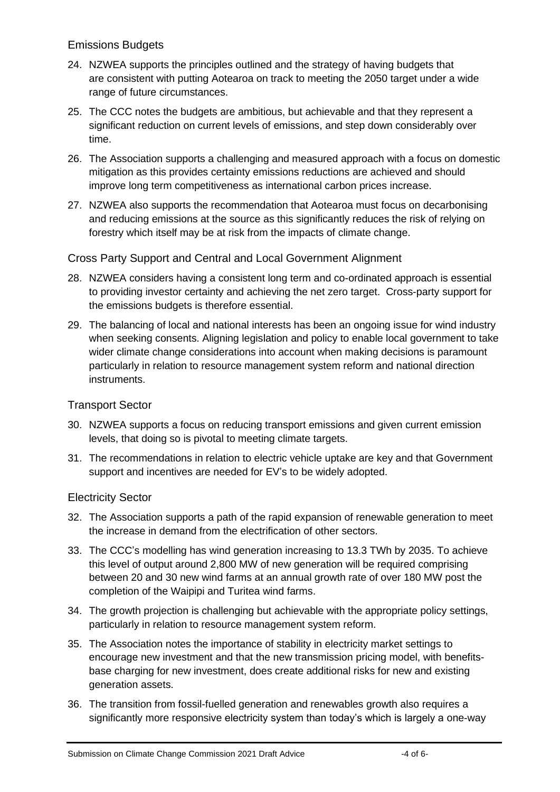## Emissions Budgets

- 24. NZWEA supports the principles outlined and the strategy of having budgets that are consistent with putting Aotearoa on track to meeting the 2050 target under a wide range of future circumstances.
- 25. The CCC notes the budgets are ambitious, but achievable and that they represent a significant reduction on current levels of emissions, and step down considerably over time.
- 26. The Association supports a challenging and measured approach with a focus on domestic mitigation as this provides certainty emissions reductions are achieved and should improve long term competitiveness as international carbon prices increase.
- 27. NZWEA also supports the recommendation that Aotearoa must focus on decarbonising and reducing emissions at the source as this significantly reduces the risk of relying on forestry which itself may be at risk from the impacts of climate change.

## Cross Party Support and Central and Local Government Alignment

- 28. NZWEA considers having a consistent long term and co-ordinated approach is essential to providing investor certainty and achieving the net zero target. Cross-party support for the emissions budgets is therefore essential.
- 29. The balancing of local and national interests has been an ongoing issue for wind industry when seeking consents. Aligning legislation and policy to enable local government to take wider climate change considerations into account when making decisions is paramount particularly in relation to resource management system reform and national direction instruments.

## Transport Sector

- 30. NZWEA supports a focus on reducing transport emissions and given current emission levels, that doing so is pivotal to meeting climate targets.
- 31. The recommendations in relation to electric vehicle uptake are key and that Government support and incentives are needed for EV's to be widely adopted.

## Electricity Sector

- 32. The Association supports a path of the rapid expansion of renewable generation to meet the increase in demand from the electrification of other sectors.
- 33. The CCC's modelling has wind generation increasing to 13.3 TWh by 2035. To achieve this level of output around 2,800 MW of new generation will be required comprising between 20 and 30 new wind farms at an annual growth rate of over 180 MW post the completion of the Waipipi and Turitea wind farms.
- 34. The growth projection is challenging but achievable with the appropriate policy settings, particularly in relation to resource management system reform.
- 35. The Association notes the importance of stability in electricity market settings to encourage new investment and that the new transmission pricing model, with benefitsbase charging for new investment, does create additional risks for new and existing generation assets.
- 36. The transition from fossil-fuelled generation and renewables growth also requires a significantly more responsive electricity system than today's which is largely a one-way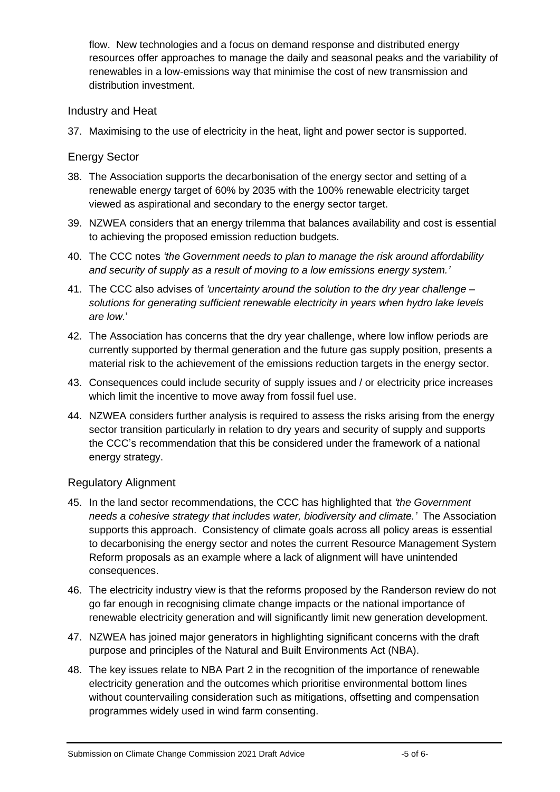flow. New technologies and a focus on demand response and distributed energy resources offer approaches to manage the daily and seasonal peaks and the variability of renewables in a low-emissions way that minimise the cost of new transmission and distribution investment.

#### Industry and Heat

37. Maximising to the use of electricity in the heat, light and power sector is supported.

## Energy Sector

- 38. The Association supports the decarbonisation of the energy sector and setting of a renewable energy target of 60% by 2035 with the 100% renewable electricity target viewed as aspirational and secondary to the energy sector target.
- 39. NZWEA considers that an energy trilemma that balances availability and cost is essential to achieving the proposed emission reduction budgets.
- 40. The CCC notes *'the Government needs to plan to manage the risk around affordability and security of supply as a result of moving to a low emissions energy system.'*
- 41. The CCC also advises of *'uncertainty around the solution to the dry year challenge – solutions for generating sufficient renewable electricity in years when hydro lake levels are low.*'
- 42. The Association has concerns that the dry year challenge, where low inflow periods are currently supported by thermal generation and the future gas supply position, presents a material risk to the achievement of the emissions reduction targets in the energy sector.
- 43. Consequences could include security of supply issues and / or electricity price increases which limit the incentive to move away from fossil fuel use.
- 44. NZWEA considers further analysis is required to assess the risks arising from the energy sector transition particularly in relation to dry years and security of supply and supports the CCC's recommendation that this be considered under the framework of a national energy strategy.

## Regulatory Alignment

- 45. In the land sector recommendations, the CCC has highlighted that *'the Government needs a cohesive strategy that includes water, biodiversity and climate.'* The Association supports this approach. Consistency of climate goals across all policy areas is essential to decarbonising the energy sector and notes the current Resource Management System Reform proposals as an example where a lack of alignment will have unintended consequences.
- 46. The electricity industry view is that the reforms proposed by the Randerson review do not go far enough in recognising climate change impacts or the national importance of renewable electricity generation and will significantly limit new generation development.
- 47. NZWEA has joined major generators in highlighting significant concerns with the draft purpose and principles of the Natural and Built Environments Act (NBA).
- 48. The key issues relate to NBA Part 2 in the recognition of the importance of renewable electricity generation and the outcomes which prioritise environmental bottom lines without countervailing consideration such as mitigations, offsetting and compensation programmes widely used in wind farm consenting.